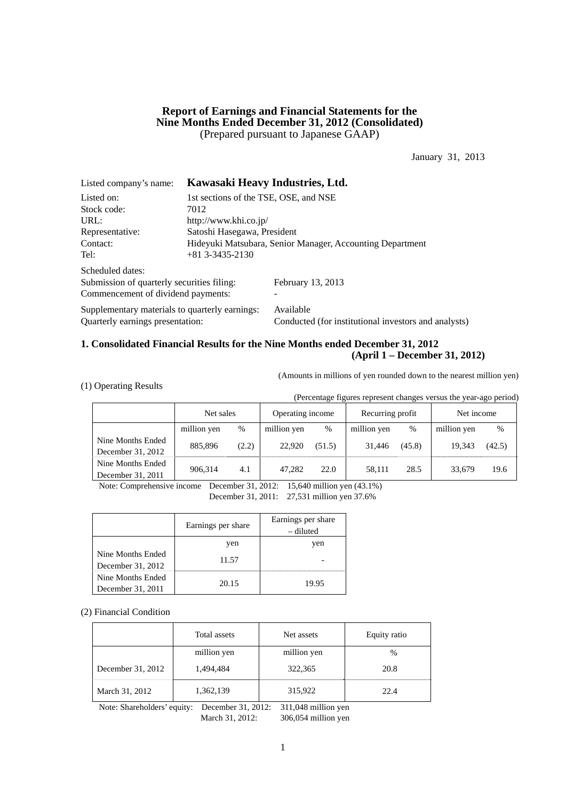## **Report of Earnings and Financial Statements for the Nine Months Ended December 31, 2012 (Consolidated)**  (Prepared pursuant to Japanese GAAP)

January 31, 2013

| Listed company's name:                         | Kawasaki Heavy Industries, Ltd.                           |                                                      |  |  |  |  |
|------------------------------------------------|-----------------------------------------------------------|------------------------------------------------------|--|--|--|--|
| Listed on:                                     | 1st sections of the TSE, OSE, and NSE                     |                                                      |  |  |  |  |
| Stock code:                                    | 7012                                                      |                                                      |  |  |  |  |
| URL:                                           | http://www.khi.co.jp/                                     |                                                      |  |  |  |  |
| Representative:                                | Satoshi Hasegawa, President                               |                                                      |  |  |  |  |
| Contact:                                       | Hideyuki Matsubara, Senior Manager, Accounting Department |                                                      |  |  |  |  |
| Tel:                                           | $+81$ 3-3435-2130                                         |                                                      |  |  |  |  |
| Scheduled dates:                               |                                                           |                                                      |  |  |  |  |
| Submission of quarterly securities filing:     |                                                           | February 13, 2013                                    |  |  |  |  |
| Commencement of dividend payments:             |                                                           |                                                      |  |  |  |  |
| Supplementary materials to quarterly earnings: |                                                           | Available                                            |  |  |  |  |
| Quarterly earnings presentation:               |                                                           | Conducted (for institutional investors and analysts) |  |  |  |  |

## **1. Consolidated Financial Results for the Nine Months ended December 31, 2012 (April 1 – December 31, 2012)**

(Amounts in millions of yen rounded down to the nearest million yen)

| (1) Operating Results |
|-----------------------|
|-----------------------|

(Percentage figures represent changes versus the year-ago period)

|                                        | Net sales   |       | Operating income |        | Recurring profit |        | Net income  |        |
|----------------------------------------|-------------|-------|------------------|--------|------------------|--------|-------------|--------|
|                                        | million yen | %     | million yen      | $\%$   | million yen      | %      | million yen | $\%$   |
| Nine Months Ended<br>December 31, 2012 | 885,896     | (2.2) | 22,920           | (51.5) | 31.446           | (45.8) | 19.343      | (42.5) |
| Nine Months Ended<br>December 31, 2011 | 906.314     | 4.1   | 47.282           | 22.0   | 58.111           | 28.5   | 33,679      | 19.6   |

Note: Comprehensive income December 31, 2012: 15,640 million yen (43.1%)

December 31, 2011: 27,531 million yen 37.6%

|                                        | Earnings per share | Earnings per share<br>– diluted |
|----------------------------------------|--------------------|---------------------------------|
|                                        | yen                | yen                             |
| Nine Months Ended<br>December 31, 2012 | 11.57              |                                 |
| Nine Months Ended<br>December 31, 2011 | 20.15              | 19.95                           |

#### (2) Financial Condition

|                   | Total assets | Net assets  | Equity ratio  |
|-------------------|--------------|-------------|---------------|
|                   | million yen  | million yen | $\frac{0}{0}$ |
| December 31, 2012 | 1,494,484    | 322,365     | 20.8          |
| March 31, 2012    | 1,362,139    | 315,922     | 22.4          |

Note: Shareholders' equity: December 31, 2012: 311,048 million yen March 31, 2012: 306,054 million yen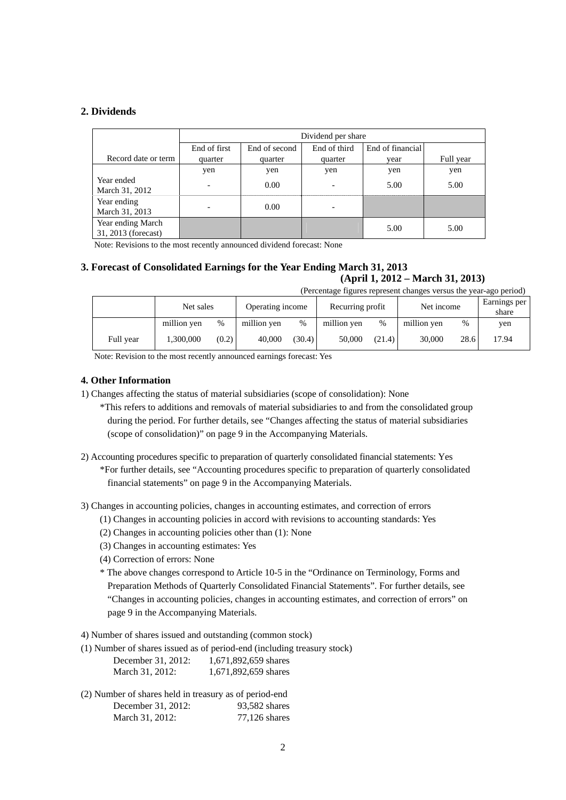## **2. Dividends**

|                                          |                          | Dividend per share |                          |                  |           |  |  |
|------------------------------------------|--------------------------|--------------------|--------------------------|------------------|-----------|--|--|
|                                          | End of first             | End of second      | End of third             | End of financial |           |  |  |
| Record date or term                      | quarter                  | quarter            | quarter                  | vear             | Full year |  |  |
|                                          | yen                      | yen                | yen                      | yen              | yen       |  |  |
| Year ended<br>March 31, 2012             | $\overline{\phantom{a}}$ | 0.00               | $\overline{\phantom{a}}$ | 5.00             | 5.00      |  |  |
| Year ending<br>March 31, 2013            |                          | 0.00               |                          |                  |           |  |  |
| Year ending March<br>31, 2013 (forecast) |                          |                    |                          | 5.00             | 5.00      |  |  |

Note: Revisions to the most recently announced dividend forecast: None

#### **3. Forecast of Consolidated Earnings for the Year Ending March 31, 2013 (April 1, 2012 – March 31, 2013)**  (Percentage figures represent changes versus the year-ago period)

|           | Net sales   |       | Operating income |        | Recurring profit |        | Net income  |      | Earnings per<br>share |
|-----------|-------------|-------|------------------|--------|------------------|--------|-------------|------|-----------------------|
|           | million yen | $\%$  | million yen      | $\%$   | million yen      | %      | million yen | %    | yen                   |
| Full year | .300.000    | (0.2) | 40,000           | (30.4) | 50,000           | (21.4) | 30,000      | 28.6 | 17.94                 |

Note: Revision to the most recently announced earnings forecast: Yes

#### **4. Other Information**

1) Changes affecting the status of material subsidiaries (scope of consolidation): None

\*This refers to additions and removals of material subsidiaries to and from the consolidated group during the period. For further details, see "Changes affecting the status of material subsidiaries (scope of consolidation)" on page 9 in the Accompanying Materials.

2) Accounting procedures specific to preparation of quarterly consolidated financial statements: Yes \*For further details, see "Accounting procedures specific to preparation of quarterly consolidated

financial statements" on page 9 in the Accompanying Materials.

3) Changes in accounting policies, changes in accounting estimates, and correction of errors

- (1) Changes in accounting policies in accord with revisions to accounting standards: Yes
- (2) Changes in accounting policies other than (1): None
- (3) Changes in accounting estimates: Yes
- (4) Correction of errors: None
- \* The above changes correspond to Article 10-5 in the "Ordinance on Terminology, Forms and Preparation Methods of Quarterly Consolidated Financial Statements". For further details, see "Changes in accounting policies, changes in accounting estimates, and correction of errors" on page 9 in the Accompanying Materials.

4) Number of shares issued and outstanding (common stock)

|                    | (1) Number of shares issued as of period-end (including treasury stock) |
|--------------------|-------------------------------------------------------------------------|
| December 31, 2012: | 1.671.892.659 shares                                                    |
| March 31, 2012:    | 1,671,892,659 shares                                                    |

(2) Number of shares held in treasury as of period-end December 31, 2012: 93,582 shares March 31, 2012: 77,126 shares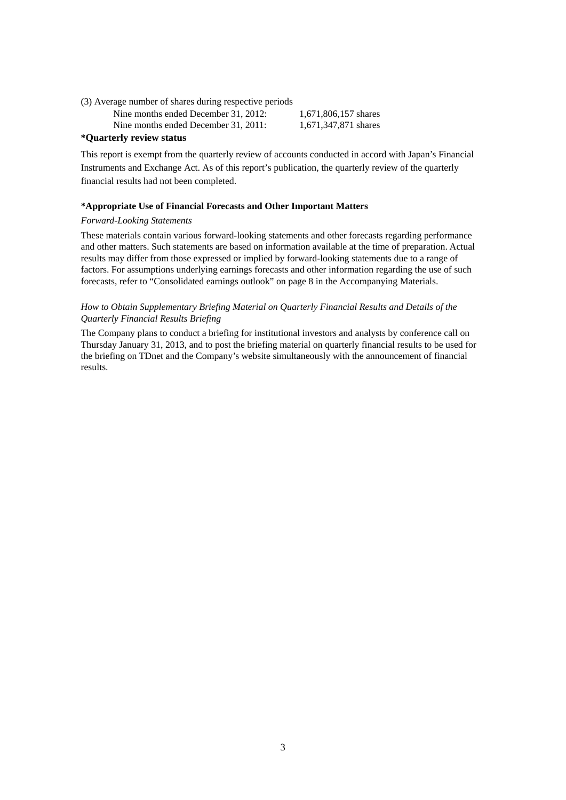(3) Average number of shares during respective periods

Nine months ended December 31, 2012: 1,671,806,157 shares

Nine months ended December 31, 2011: 1,671,347,871 shares

**\*Quarterly review status** 

This report is exempt from the quarterly review of accounts conducted in accord with Japan's Financial Instruments and Exchange Act. As of this report's publication, the quarterly review of the quarterly financial results had not been completed.

## **\*Appropriate Use of Financial Forecasts and Other Important Matters**

## *Forward-Looking Statements*

These materials contain various forward-looking statements and other forecasts regarding performance and other matters. Such statements are based on information available at the time of preparation. Actual results may differ from those expressed or implied by forward-looking statements due to a range of factors. For assumptions underlying earnings forecasts and other information regarding the use of such forecasts, refer to "Consolidated earnings outlook" on page 8 in the Accompanying Materials.

## *How to Obtain Supplementary Briefing Material on Quarterly Financial Results and Details of the Quarterly Financial Results Briefing*

The Company plans to conduct a briefing for institutional investors and analysts by conference call on Thursday January 31, 2013, and to post the briefing material on quarterly financial results to be used for the briefing on TDnet and the Company's website simultaneously with the announcement of financial results.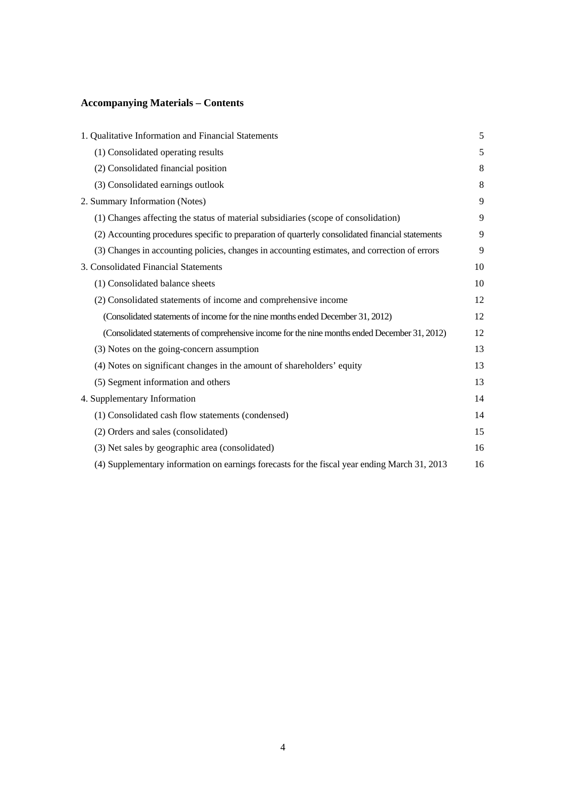# **Accompanying Materials – Contents**

| 1. Qualitative Information and Financial Statements                                              | 5  |
|--------------------------------------------------------------------------------------------------|----|
| (1) Consolidated operating results                                                               | 5  |
| (2) Consolidated financial position                                                              | 8  |
| (3) Consolidated earnings outlook                                                                | 8  |
| 2. Summary Information (Notes)                                                                   | 9  |
| (1) Changes affecting the status of material subsidiaries (scope of consolidation)               | 9  |
| (2) Accounting procedures specific to preparation of quarterly consolidated financial statements | 9  |
| (3) Changes in accounting policies, changes in accounting estimates, and correction of errors    | 9  |
| 3. Consolidated Financial Statements                                                             | 10 |
| (1) Consolidated balance sheets                                                                  | 10 |
| (2) Consolidated statements of income and comprehensive income                                   | 12 |
| (Consolidated statements of income for the nine months ended December 31, 2012)                  | 12 |
| (Consolidated statements of comprehensive income for the nine months ended December 31, 2012)    | 12 |
| (3) Notes on the going-concern assumption                                                        | 13 |
| (4) Notes on significant changes in the amount of shareholders' equity                           | 13 |
| (5) Segment information and others                                                               | 13 |
| 4. Supplementary Information                                                                     | 14 |
| (1) Consolidated cash flow statements (condensed)                                                | 14 |
| (2) Orders and sales (consolidated)                                                              | 15 |
| (3) Net sales by geographic area (consolidated)                                                  | 16 |
| (4) Supplementary information on earnings forecasts for the fiscal year ending March 31, 2013    | 16 |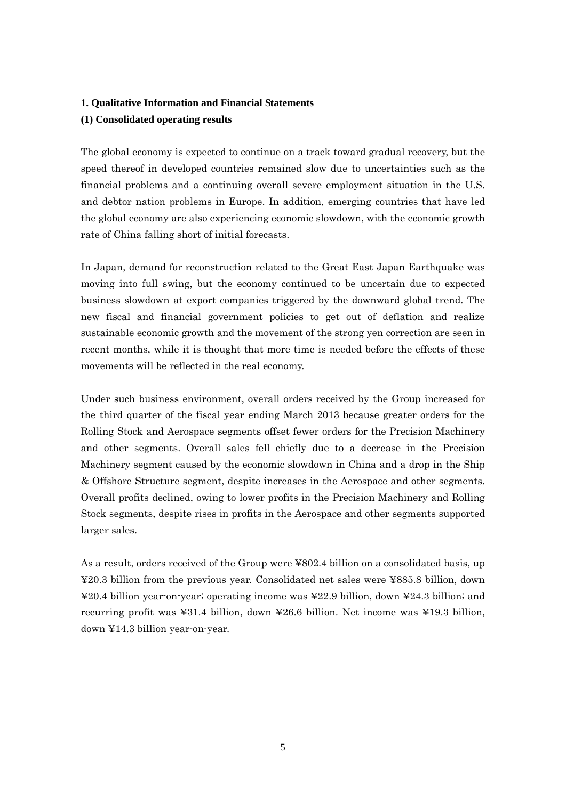## **1. Qualitative Information and Financial Statements**

## **(1) Consolidated operating results**

The global economy is expected to continue on a track toward gradual recovery, but the speed thereof in developed countries remained slow due to uncertainties such as the financial problems and a continuing overall severe employment situation in the U.S. and debtor nation problems in Europe. In addition, emerging countries that have led the global economy are also experiencing economic slowdown, with the economic growth rate of China falling short of initial forecasts.

In Japan, demand for reconstruction related to the Great East Japan Earthquake was moving into full swing, but the economy continued to be uncertain due to expected business slowdown at export companies triggered by the downward global trend. The new fiscal and financial government policies to get out of deflation and realize sustainable economic growth and the movement of the strong yen correction are seen in recent months, while it is thought that more time is needed before the effects of these movements will be reflected in the real economy.

Under such business environment, overall orders received by the Group increased for the third quarter of the fiscal year ending March 2013 because greater orders for the Rolling Stock and Aerospace segments offset fewer orders for the Precision Machinery and other segments. Overall sales fell chiefly due to a decrease in the Precision Machinery segment caused by the economic slowdown in China and a drop in the Ship & Offshore Structure segment, despite increases in the Aerospace and other segments. Overall profits declined, owing to lower profits in the Precision Machinery and Rolling Stock segments, despite rises in profits in the Aerospace and other segments supported larger sales.

As a result, orders received of the Group were ¥802.4 billion on a consolidated basis, up ¥20.3 billion from the previous year. Consolidated net sales were ¥885.8 billion, down ¥20.4 billion year-on-year; operating income was ¥22.9 billion, down ¥24.3 billion; and recurring profit was ¥31.4 billion, down ¥26.6 billion. Net income was ¥19.3 billion, down ¥14.3 billion year-on-year.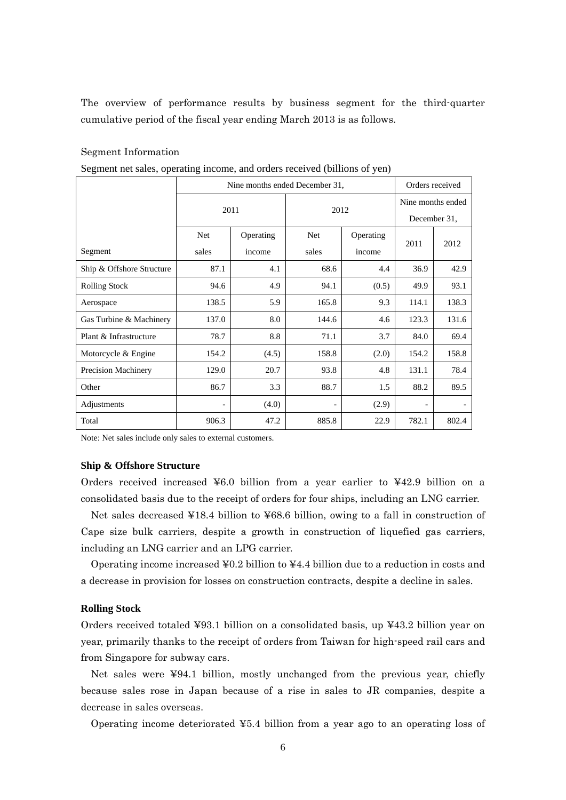The overview of performance results by business segment for the third-quarter cumulative period of the fiscal year ending March 2013 is as follows.

#### Segment Information

Segment net sales, operating income, and orders received (billions of yen)

|                            | Nine months ended December 31, |           |            |           |                   | Orders received |  |
|----------------------------|--------------------------------|-----------|------------|-----------|-------------------|-----------------|--|
|                            | 2011                           |           | 2012       |           | Nine months ended |                 |  |
|                            |                                |           |            |           | December 31.      |                 |  |
|                            | <b>Net</b>                     | Operating | <b>Net</b> | Operating | 2011              | 2012            |  |
| Segment                    | sales                          | income    | sales      | income    |                   |                 |  |
| Ship & Offshore Structure  | 87.1                           | 4.1       | 68.6       | 4.4       | 36.9              | 42.9            |  |
| <b>Rolling Stock</b>       | 94.6                           | 4.9       | 94.1       | (0.5)     | 49.9              | 93.1            |  |
| Aerospace                  | 138.5                          | 5.9       | 165.8      | 9.3       | 114.1             | 138.3           |  |
| Gas Turbine & Machinery    | 137.0                          | 8.0       | 144.6      | 4.6       | 123.3             | 131.6           |  |
| Plant & Infrastructure     | 78.7                           | 8.8       | 71.1       | 3.7       | 84.0              | 69.4            |  |
| Motorcycle & Engine        | 154.2                          | (4.5)     | 158.8      | (2.0)     | 154.2             | 158.8           |  |
| <b>Precision Machinery</b> | 129.0                          | 20.7      | 93.8       | 4.8       | 131.1             | 78.4            |  |
| Other                      | 86.7                           | 3.3       | 88.7       | 1.5       | 88.2              | 89.5            |  |
| Adjustments                |                                | (4.0)     |            | (2.9)     |                   |                 |  |
| Total                      | 906.3                          | 47.2      | 885.8      | 22.9      | 782.1             | 802.4           |  |

Note: Net sales include only sales to external customers.

#### **Ship & Offshore Structure**

Orders received increased ¥6.0 billion from a year earlier to ¥42.9 billion on a consolidated basis due to the receipt of orders for four ships, including an LNG carrier.

Net sales decreased ¥18.4 billion to ¥68.6 billion, owing to a fall in construction of Cape size bulk carriers, despite a growth in construction of liquefied gas carriers, including an LNG carrier and an LPG carrier.

Operating income increased  $\angle 90.2$  billion to  $\angle 44.4$  billion due to a reduction in costs and a decrease in provision for losses on construction contracts, despite a decline in sales.

## **Rolling Stock**

Orders received totaled ¥93.1 billion on a consolidated basis, up ¥43.2 billion year on year, primarily thanks to the receipt of orders from Taiwan for high-speed rail cars and from Singapore for subway cars.

Net sales were ¥94.1 billion, mostly unchanged from the previous year, chiefly because sales rose in Japan because of a rise in sales to JR companies, despite a decrease in sales overseas.

Operating income deteriorated ¥5.4 billion from a year ago to an operating loss of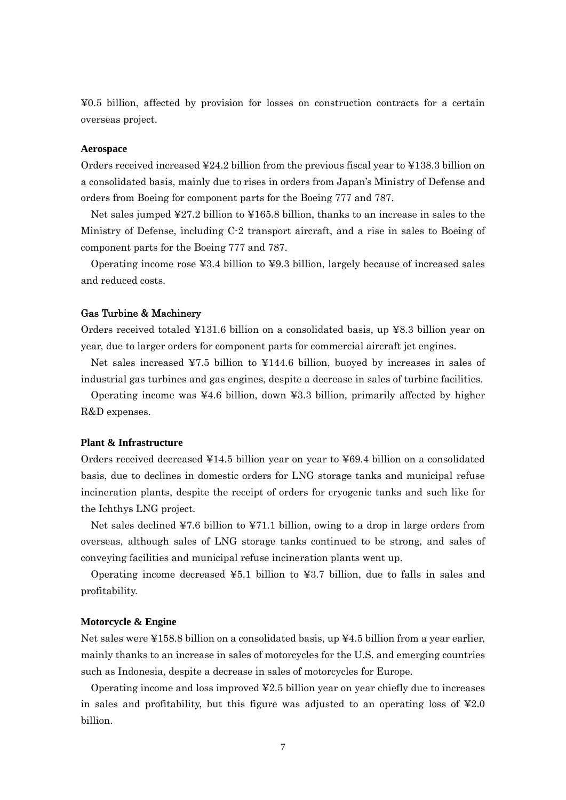¥0.5 billion, affected by provision for losses on construction contracts for a certain overseas project.

#### **Aerospace**

Orders received increased ¥24.2 billion from the previous fiscal year to ¥138.3 billion on a consolidated basis, mainly due to rises in orders from Japan's Ministry of Defense and orders from Boeing for component parts for the Boeing 777 and 787.

Net sales jumped ¥27.2 billion to ¥165.8 billion, thanks to an increase in sales to the Ministry of Defense, including C-2 transport aircraft, and a rise in sales to Boeing of component parts for the Boeing 777 and 787.

Operating income rose ¥3.4 billion to ¥9.3 billion, largely because of increased sales and reduced costs.

#### Gas Turbine & Machinery

Orders received totaled ¥131.6 billion on a consolidated basis, up ¥8.3 billion year on year, due to larger orders for component parts for commercial aircraft jet engines.

Net sales increased ¥7.5 billion to ¥144.6 billion, buoyed by increases in sales of industrial gas turbines and gas engines, despite a decrease in sales of turbine facilities.

Operating income was  $\angle 4.6$  billion, down  $\angle 3.3$  billion, primarily affected by higher R&D expenses.

#### **Plant & Infrastructure**

Orders received decreased ¥14.5 billion year on year to ¥69.4 billion on a consolidated basis, due to declines in domestic orders for LNG storage tanks and municipal refuse incineration plants, despite the receipt of orders for cryogenic tanks and such like for the Ichthys LNG project.

Net sales declined ¥7.6 billion to ¥71.1 billion, owing to a drop in large orders from overseas, although sales of LNG storage tanks continued to be strong, and sales of conveying facilities and municipal refuse incineration plants went up.

Operating income decreased  $\text{\textsterling}5.1$  billion to  $\text{\textsterling}3.7$  billion, due to falls in sales and profitability.

#### **Motorcycle & Engine**

Net sales were ¥158.8 billion on a consolidated basis, up  $\yen 4.5$  billion from a year earlier, mainly thanks to an increase in sales of motorcycles for the U.S. and emerging countries such as Indonesia, despite a decrease in sales of motorcycles for Europe.

Operating income and loss improved ¥2.5 billion year on year chiefly due to increases in sales and profitability, but this figure was adjusted to an operating loss of  $\text{\textless}2.0$ billion.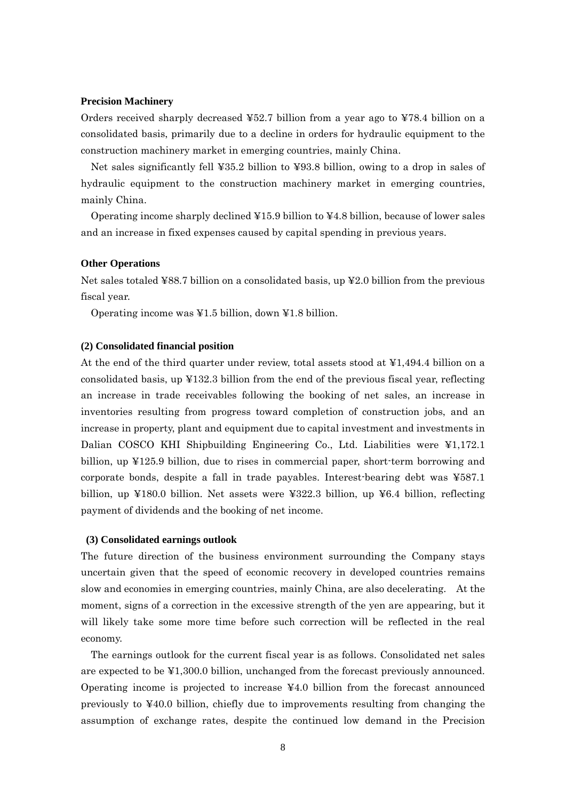#### **Precision Machinery**

Orders received sharply decreased ¥52.7 billion from a year ago to ¥78.4 billion on a consolidated basis, primarily due to a decline in orders for hydraulic equipment to the construction machinery market in emerging countries, mainly China.

Net sales significantly fell ¥35.2 billion to ¥93.8 billion, owing to a drop in sales of hydraulic equipment to the construction machinery market in emerging countries, mainly China.

Operating income sharply declined  $\yen 15.9$  billion to  $\yen 4.8$  billion, because of lower sales and an increase in fixed expenses caused by capital spending in previous years.

#### **Other Operations**

Net sales totaled ¥88.7 billion on a consolidated basis, up ¥2.0 billion from the previous fiscal year.

Operating income was ¥1.5 billion, down ¥1.8 billion.

#### **(2) Consolidated financial position**

At the end of the third quarter under review, total assets stood at ¥1,494.4 billion on a consolidated basis, up  $\text{\textsterling}132.3$  billion from the end of the previous fiscal year, reflecting an increase in trade receivables following the booking of net sales, an increase in inventories resulting from progress toward completion of construction jobs, and an increase in property, plant and equipment due to capital investment and investments in Dalian COSCO KHI Shipbuilding Engineering Co., Ltd. Liabilities were ¥1,172.1 billion, up ¥125.9 billion, due to rises in commercial paper, short-term borrowing and corporate bonds, despite a fall in trade payables. Interest-bearing debt was ¥587.1 billion, up  $\text{\textless}180.0$  billion. Net assets were  $\text{\textless}222.3$  billion, up  $\text{\textless}6.4$  billion, reflecting payment of dividends and the booking of net income.

#### **(3) Consolidated earnings outlook**

The future direction of the business environment surrounding the Company stays uncertain given that the speed of economic recovery in developed countries remains slow and economies in emerging countries, mainly China, are also decelerating. At the moment, signs of a correction in the excessive strength of the yen are appearing, but it will likely take some more time before such correction will be reflected in the real economy.

The earnings outlook for the current fiscal year is as follows. Consolidated net sales are expected to be ¥1,300.0 billion, unchanged from the forecast previously announced. Operating income is projected to increase ¥4.0 billion from the forecast announced previously to ¥40.0 billion, chiefly due to improvements resulting from changing the assumption of exchange rates, despite the continued low demand in the Precision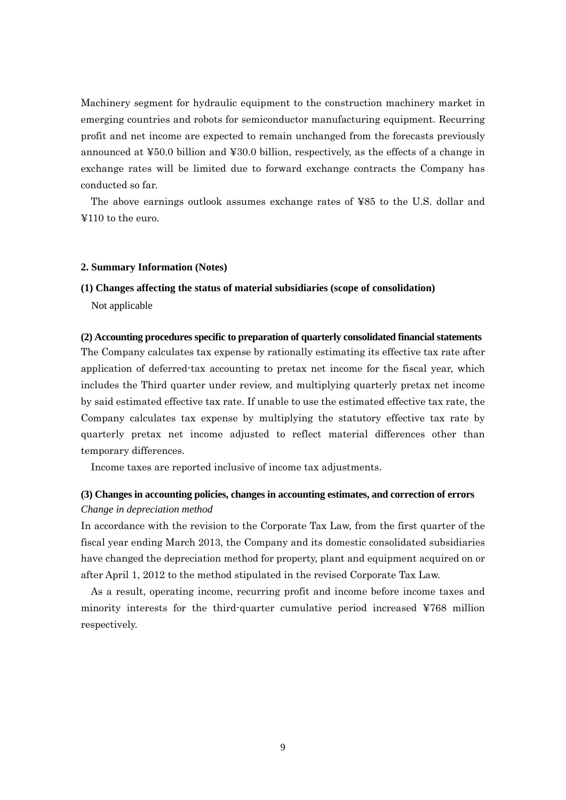Machinery segment for hydraulic equipment to the construction machinery market in emerging countries and robots for semiconductor manufacturing equipment. Recurring profit and net income are expected to remain unchanged from the forecasts previously announced at ¥50.0 billion and ¥30.0 billion, respectively, as the effects of a change in exchange rates will be limited due to forward exchange contracts the Company has conducted so far.

The above earnings outlook assumes exchange rates of ¥85 to the U.S. dollar and ¥110 to the euro.

#### **2. Summary Information (Notes)**

# **(1) Changes affecting the status of material subsidiaries (scope of consolidation)**

Not applicable

## **(2) Accounting procedures specific to preparation of quarterly consolidated financial statements**

The Company calculates tax expense by rationally estimating its effective tax rate after application of deferred-tax accounting to pretax net income for the fiscal year, which includes the Third quarter under review, and multiplying quarterly pretax net income by said estimated effective tax rate. If unable to use the estimated effective tax rate, the Company calculates tax expense by multiplying the statutory effective tax rate by quarterly pretax net income adjusted to reflect material differences other than temporary differences.

Income taxes are reported inclusive of income tax adjustments.

## **(3) Changes in accounting policies, changes in accounting estimates, and correction of errors**  *Change in depreciation method*

In accordance with the revision to the Corporate Tax Law, from the first quarter of the fiscal year ending March 2013, the Company and its domestic consolidated subsidiaries have changed the depreciation method for property, plant and equipment acquired on or after April 1, 2012 to the method stipulated in the revised Corporate Tax Law.

As a result, operating income, recurring profit and income before income taxes and minority interests for the third-quarter cumulative period increased ¥768 million respectively.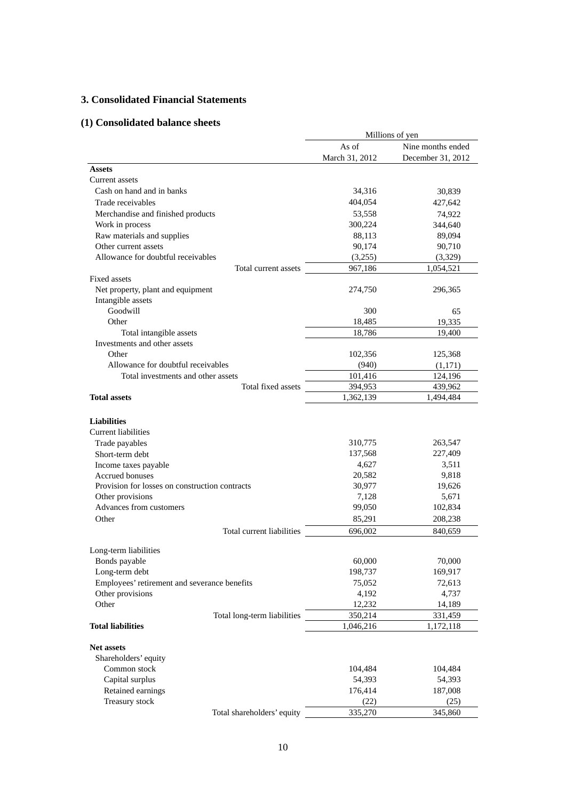## **3. Consolidated Financial Statements**

# **(1) Consolidated balance sheets**

|                                                                | Millions of yen      |                   |  |
|----------------------------------------------------------------|----------------------|-------------------|--|
|                                                                | As of                | Nine months ended |  |
|                                                                | March 31, 2012       | December 31, 2012 |  |
| <b>Assets</b>                                                  |                      |                   |  |
| Current assets                                                 |                      |                   |  |
| Cash on hand and in banks                                      | 34,316               | 30,839            |  |
| Trade receivables                                              | 404,054              | 427,642           |  |
| Merchandise and finished products                              | 53,558               | 74,922            |  |
| Work in process                                                | 300,224              | 344,640           |  |
| Raw materials and supplies                                     | 88,113               | 89,094            |  |
| Other current assets                                           | 90,174               | 90,710            |  |
| Allowance for doubtful receivables                             | (3,255)              | (3,329)           |  |
| Total current assets                                           | 967,186              | 1,054,521         |  |
| Fixed assets                                                   |                      |                   |  |
| Net property, plant and equipment                              | 274,750              | 296,365           |  |
| Intangible assets                                              |                      |                   |  |
| Goodwill                                                       | 300                  | 65                |  |
| Other                                                          | 18,485               | 19,335            |  |
| Total intangible assets                                        | 18,786               | 19,400            |  |
| Investments and other assets                                   |                      |                   |  |
| Other                                                          | 102,356              | 125,368           |  |
| Allowance for doubtful receivables                             | (940)                | (1,171)           |  |
| Total investments and other assets                             | 101,416              | 124,196           |  |
| Total fixed assets                                             | 394,953              | 439,962           |  |
| <b>Total assets</b>                                            | 1,362,139            | 1,494,484         |  |
|                                                                |                      |                   |  |
| <b>Liabilities</b>                                             |                      |                   |  |
| Current liabilities                                            |                      |                   |  |
| Trade payables                                                 | 310,775              | 263,547           |  |
| Short-term debt                                                | 137,568              | 227,409           |  |
| Income taxes payable                                           | 4,627                | 3,511             |  |
| <b>Accrued bonuses</b>                                         | 20,582               | 9,818             |  |
| Provision for losses on construction contracts                 | 30,977               | 19,626            |  |
| Other provisions                                               | 7,128                | 5,671             |  |
| Advances from customers                                        | 99,050               | 102,834           |  |
| Other                                                          | 85,291               | 208,238           |  |
| Total current liabilities                                      | 696,002              | 840,659           |  |
|                                                                |                      |                   |  |
| Long-term liabilities                                          |                      |                   |  |
| Bonds payable                                                  | 60,000               | 70,000            |  |
| Long-term debt<br>Employees' retirement and severance benefits | 198,737<br>75,052    | 169,917           |  |
|                                                                |                      | 72,613            |  |
| Other provisions<br>Other                                      | 4,192                | 4,737             |  |
|                                                                | 12,232               | 14,189<br>331,459 |  |
| Total long-term liabilities<br><b>Total liabilities</b>        | 350,214<br>1,046,216 | 1,172,118         |  |
|                                                                |                      |                   |  |
| <b>Net assets</b>                                              |                      |                   |  |
| Shareholders' equity                                           |                      |                   |  |
| Common stock                                                   | 104,484              | 104,484           |  |
| Capital surplus                                                | 54,393               | 54,393            |  |
| Retained earnings                                              | 176,414              | 187,008           |  |
| Treasury stock                                                 | (22)                 | (25)              |  |
| Total shareholders' equity                                     | 335,270              | 345,860           |  |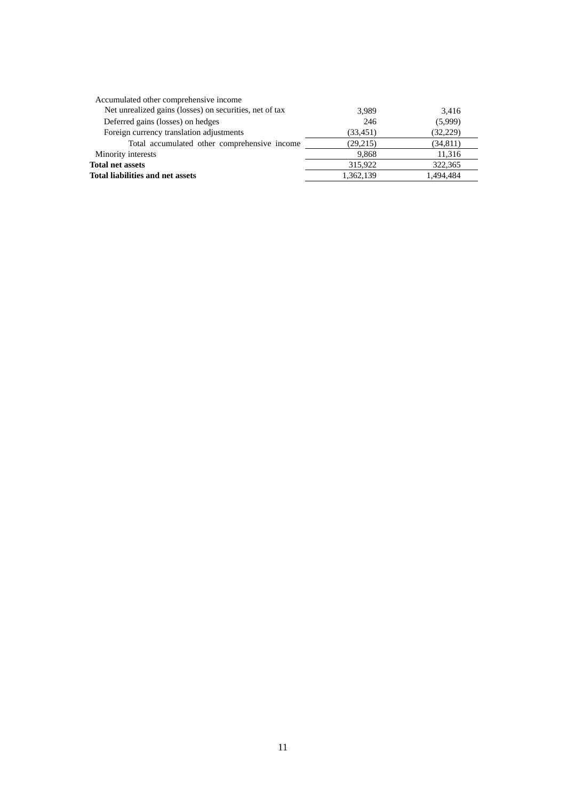| Accumulated other comprehensive income                  |           |           |
|---------------------------------------------------------|-----------|-----------|
| Net unrealized gains (losses) on securities, net of tax | 3,989     | 3,416     |
| Deferred gains (losses) on hedges                       | 246       | (5,999)   |
| Foreign currency translation adjustments                | (33, 451) | (32, 229) |
| Total accumulated other comprehensive income            | (29,215)  | (34, 811) |
| Minority interests                                      | 9.868     | 11,316    |
| <b>Total net assets</b>                                 | 315,922   | 322,365   |
| Total liabilities and net assets                        | 1,362,139 | 1.494.484 |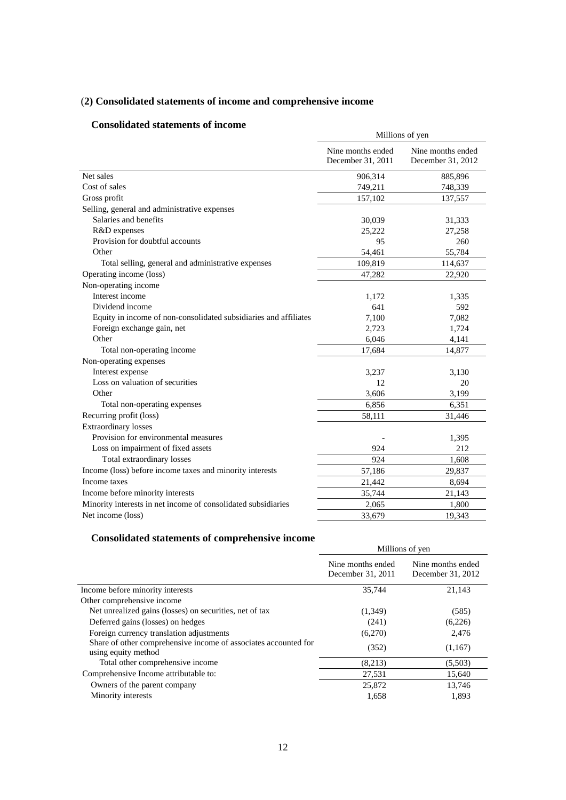# (**2) Consolidated statements of income and comprehensive income**

## **Consolidated statements of income**

|                                                                  | Millions of yen                        |                                        |  |
|------------------------------------------------------------------|----------------------------------------|----------------------------------------|--|
|                                                                  | Nine months ended<br>December 31, 2011 | Nine months ended<br>December 31, 2012 |  |
| Net sales                                                        | 906,314                                | 885,896                                |  |
| Cost of sales                                                    | 749,211                                | 748,339                                |  |
| Gross profit                                                     | 157,102                                | 137,557                                |  |
| Selling, general and administrative expenses                     |                                        |                                        |  |
| Salaries and benefits                                            | 30,039                                 | 31,333                                 |  |
| R&D expenses                                                     | 25,222                                 | 27,258                                 |  |
| Provision for doubtful accounts                                  | 95                                     | 260                                    |  |
| Other                                                            | 54,461                                 | 55,784                                 |  |
| Total selling, general and administrative expenses               | 109,819                                | 114,637                                |  |
| Operating income (loss)                                          | 47,282                                 | 22,920                                 |  |
| Non-operating income                                             |                                        |                                        |  |
| Interest income                                                  | 1,172                                  | 1,335                                  |  |
| Dividend income                                                  | 641                                    | 592                                    |  |
| Equity in income of non-consolidated subsidiaries and affiliates | 7,100                                  | 7,082                                  |  |
| Foreign exchange gain, net                                       | 2.723                                  | 1,724                                  |  |
| Other                                                            | 6,046                                  | 4,141                                  |  |
| Total non-operating income                                       | 17,684                                 | 14,877                                 |  |
| Non-operating expenses                                           |                                        |                                        |  |
| Interest expense                                                 | 3,237                                  | 3,130                                  |  |
| Loss on valuation of securities                                  | 12                                     | 20                                     |  |
| Other                                                            | 3,606                                  | 3,199                                  |  |
| Total non-operating expenses                                     | 6,856                                  | 6,351                                  |  |
| Recurring profit (loss)                                          | 58,111                                 | 31,446                                 |  |
| <b>Extraordinary</b> losses                                      |                                        |                                        |  |
| Provision for environmental measures                             |                                        | 1,395                                  |  |
| Loss on impairment of fixed assets                               | 924                                    | 212                                    |  |
| Total extraordinary losses                                       | 924                                    | 1,608                                  |  |
| Income (loss) before income taxes and minority interests         | 57,186                                 | 29,837                                 |  |
| Income taxes                                                     | 21,442                                 | 8,694                                  |  |
| Income before minority interests                                 | 35,744                                 | 21,143                                 |  |
| Minority interests in net income of consolidated subsidiaries    | 2,065                                  | 1,800                                  |  |
| Net income (loss)                                                | 33,679                                 | 19,343                                 |  |

# **Consolidated statements of comprehensive income**

|                                                                                        | Millions of yen                        |                                        |
|----------------------------------------------------------------------------------------|----------------------------------------|----------------------------------------|
|                                                                                        | Nine months ended<br>December 31, 2011 | Nine months ended<br>December 31, 2012 |
| Income before minority interests                                                       | 35.744                                 | 21.143                                 |
| Other comprehensive income                                                             |                                        |                                        |
| Net unrealized gains (losses) on securities, net of tax                                | (1,349)                                | (585)                                  |
| Deferred gains (losses) on hedges                                                      | (241)                                  | (6,226)                                |
| Foreign currency translation adjustments                                               | (6,270)                                | 2,476                                  |
| Share of other comprehensive income of associates accounted for<br>using equity method | (352)                                  | (1,167)                                |
| Total other comprehensive income                                                       | (8,213)                                | (5,503)                                |
| Comprehensive Income attributable to:                                                  | 27,531                                 | 15,640                                 |
| Owners of the parent company                                                           | 25,872                                 | 13,746                                 |
| Minority interests                                                                     | 1,658                                  | 1,893                                  |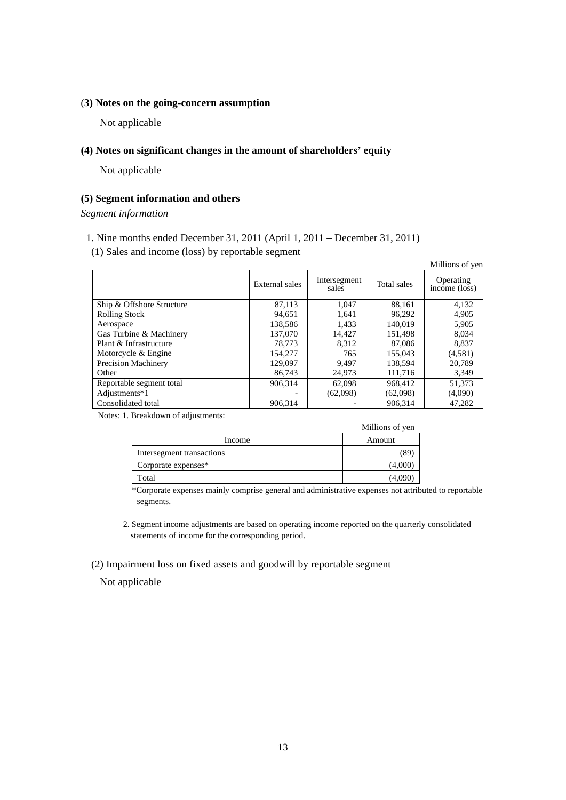## (**3) Notes on the going-concern assumption**

Not applicable

## **(4) Notes on significant changes in the amount of shareholders' equity**

Not applicable

## **(5) Segment information and others**

*Segment information* 

- 1. Nine months ended December 31, 2011 (April 1, 2011 December 31, 2011)
- (1) Sales and income (loss) by reportable segment

|                           |                |                       |             | Millions of yen                         |
|---------------------------|----------------|-----------------------|-------------|-----------------------------------------|
|                           | External sales | Intersegment<br>sales | Total sales | Operating<br>$inc\overline{one}$ (loss) |
| Ship & Offshore Structure | 87,113         | 1.047                 | 88,161      | 4,132                                   |
| <b>Rolling Stock</b>      | 94,651         | 1,641                 | 96,292      | 4,905                                   |
| Aerospace                 | 138.586        | 1.433                 | 140.019     | 5,905                                   |
| Gas Turbine & Machinery   | 137,070        | 14.427                | 151.498     | 8.034                                   |
| Plant & Infrastructure    | 78,773         | 8.312                 | 87,086      | 8.837                                   |
| Motorcycle & Engine       | 154,277        | 765                   | 155,043     | (4,581)                                 |
| Precision Machinery       | 129,097        | 9.497                 | 138.594     | 20.789                                  |
| Other                     | 86,743         | 24,973                | 111,716     | 3,349                                   |
| Reportable segment total  | 906.314        | 62,098                | 968.412     | 51,373                                  |
| Adjustments*1             |                | (62,098)              | (62,098)    | (4,090)                                 |
| Consolidated total        | 906.314        |                       | 906.314     | 47.282                                  |

Notes: 1. Breakdown of adjustments:

|                           | <b>MULLIONS</b> OF ACH |
|---------------------------|------------------------|
| Income                    | Amount                 |
| Intersegment transactions | 85                     |
| Corporate expenses*       | (4,000)                |
| Total                     | (4.090                 |

\*Corporate expenses mainly comprise general and administrative expenses not attributed to reportable segments.

Millions of yen

2. Segment income adjustments are based on operating income reported on the quarterly consolidated statements of income for the corresponding period.

(2) Impairment loss on fixed assets and goodwill by reportable segment

Not applicable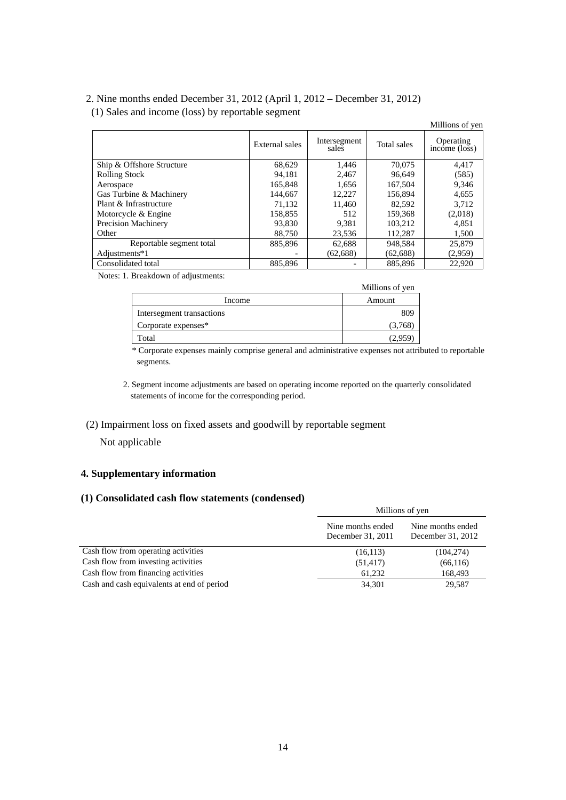# 2. Nine months ended December 31, 2012 (April 1, 2012 – December 31, 2012)

# (1) Sales and income (loss) by reportable segment

|                            |                |                       |             | Millions of yen            |
|----------------------------|----------------|-----------------------|-------------|----------------------------|
|                            | External sales | Intersegment<br>sales | Total sales | Operating<br>income (loss) |
| Ship & Offshore Structure  | 68,629         | 1,446                 | 70,075      | 4,417                      |
| <b>Rolling Stock</b>       | 94.181         | 2.467                 | 96,649      | (585)                      |
| Aerospace                  | 165.848        | 1,656                 | 167,504     | 9,346                      |
| Gas Turbine & Machinery    | 144,667        | 12.227                | 156,894     | 4,655                      |
| Plant & Infrastructure     | 71,132         | 11.460                | 82.592      | 3,712                      |
| Motorcycle & Engine        | 158,855        | 512                   | 159,368     | (2,018)                    |
| <b>Precision Machinery</b> | 93,830         | 9.381                 | 103.212     | 4,851                      |
| Other                      | 88,750         | 23,536                | 112,287     | 1,500                      |
| Reportable segment total   | 885,896        | 62,688                | 948,584     | 25,879                     |
| Adjustments*1              |                | (62, 688)             | (62, 688)   | (2,959)                    |
| Consolidated total         | 885,896        |                       | 885,896     | 22,920                     |

Notes: 1. Breakdown of adjustments:

|                           | Millions of yen |
|---------------------------|-----------------|
| Income                    | Amount          |
| Intersegment transactions | 809             |
| Corporate expenses*       | (3,768)         |
| Total                     | 2.95            |

\* Corporate expenses mainly comprise general and administrative expenses not attributed to reportable segments.

2. Segment income adjustments are based on operating income reported on the quarterly consolidated statements of income for the corresponding period.

## (2) Impairment loss on fixed assets and goodwill by reportable segment

Not applicable

## **4. Supplementary information**

## **(1) Consolidated cash flow statements (condensed)**

|                                            | Millions of yen                        |                                        |  |
|--------------------------------------------|----------------------------------------|----------------------------------------|--|
|                                            | Nine months ended<br>December 31, 2011 | Nine months ended<br>December 31, 2012 |  |
| Cash flow from operating activities        | (16, 113)                              | (104, 274)                             |  |
| Cash flow from investing activities        | (51, 417)                              | (66, 116)                              |  |
| Cash flow from financing activities        | 61.232                                 | 168,493                                |  |
| Cash and cash equivalents at end of period | 34,301                                 | 29,587                                 |  |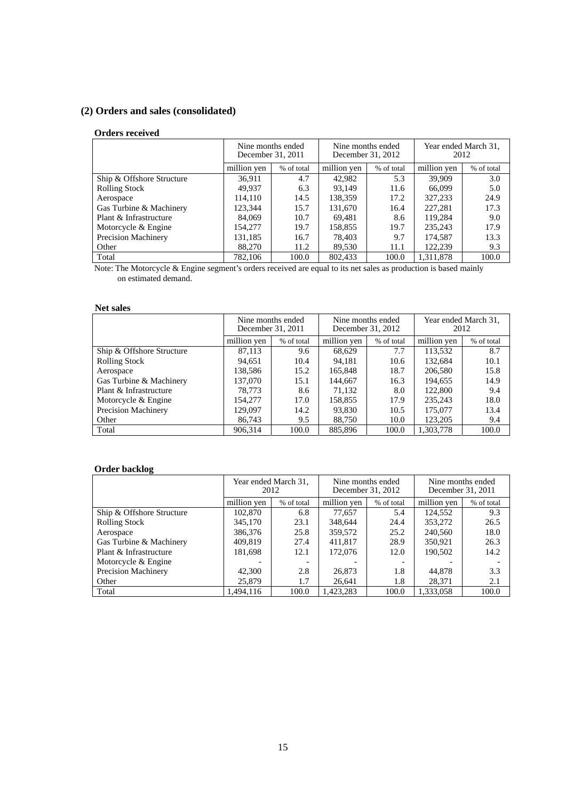# **(2) Orders and sales (consolidated)**

## **Orders received**

|                            | Nine months ended<br>December 31, 2011 |            | Nine months ended<br>December 31, 2012 |            | Year ended March 31,<br>2012 |            |
|----------------------------|----------------------------------------|------------|----------------------------------------|------------|------------------------------|------------|
|                            | million yen                            | % of total | million yen                            | % of total | million yen                  | % of total |
| Ship & Offshore Structure  | 36.911                                 | 4.7        | 42.982                                 | 5.3        | 39,909                       | 3.0        |
| <b>Rolling Stock</b>       | 49.937                                 | 6.3        | 93.149                                 | 11.6       | 66,099                       | 5.0        |
| Aerospace                  | 114,110                                | 14.5       | 138,359                                | 17.2       | 327,233                      | 24.9       |
| Gas Turbine & Machinery    | 123.344                                | 15.7       | 131,670                                | 16.4       | 227,281                      | 17.3       |
| Plant & Infrastructure     | 84,069                                 | 10.7       | 69,481                                 | 8.6        | 119.284                      | 9.0        |
| Motorcycle & Engine        | 154,277                                | 19.7       | 158,855                                | 19.7       | 235,243                      | 17.9       |
| <b>Precision Machinery</b> | 131,185                                | 16.7       | 78.403                                 | 9.7        | 174.587                      | 13.3       |
| Other                      | 88,270                                 | 11.2       | 89,530                                 | 11.1       | 122.239                      | 9.3        |
| Total                      | 782.106                                | 100.0      | 802,433                                | 100.0      | 1.311.878                    | 100.0      |

Note: The Motorcycle & Engine segment's orders received are equal to its net sales as production is based mainly on estimated demand.

## **Net sales**

|                           | Nine months ended<br>Nine months ended<br>December 31, 2012<br>December 31, 2011 |            |             | Year ended March 31,<br>2012 |             |            |
|---------------------------|----------------------------------------------------------------------------------|------------|-------------|------------------------------|-------------|------------|
|                           | million yen                                                                      | % of total | million yen | % of total                   | million yen | % of total |
| Ship & Offshore Structure | 87,113                                                                           | 9.6        | 68,629      | 7.7                          | 113,532     | 8.7        |
| <b>Rolling Stock</b>      | 94.651                                                                           | 10.4       | 94.181      | 10.6                         | 132.684     | 10.1       |
| Aerospace                 | 138,586                                                                          | 15.2       | 165,848     | 18.7                         | 206,580     | 15.8       |
| Gas Turbine & Machinery   | 137,070                                                                          | 15.1       | 144,667     | 16.3                         | 194.655     | 14.9       |
| Plant & Infrastructure    | 78.773                                                                           | 8.6        | 71,132      | 8.0                          | 122,800     | 9.4        |
| Motorcycle & Engine       | 154,277                                                                          | 17.0       | 158.855     | 17.9                         | 235,243     | 18.0       |
| Precision Machinery       | 129.097                                                                          | 14.2       | 93.830      | 10.5                         | 175,077     | 13.4       |
| Other                     | 86,743                                                                           | 9.5        | 88.750      | 10.0                         | 123,205     | 9.4        |
| Total                     | 906,314                                                                          | 100.0      | 885,896     | 100.0                        | 1,303,778   | 100.0      |

## **Order backlog**

|                           | 2012        | Year ended March 31, | Nine months ended<br>December 31, 2012 |            | Nine months ended<br>December 31, 2011 |            |
|---------------------------|-------------|----------------------|----------------------------------------|------------|----------------------------------------|------------|
|                           | million yen | % of total           | million yen                            | % of total | million yen                            | % of total |
| Ship & Offshore Structure | 102,870     | 6.8                  | 77,657                                 | 5.4        | 124,552                                | 9.3        |
| <b>Rolling Stock</b>      | 345,170     | 23.1                 | 348,644                                | 24.4       | 353,272                                | 26.5       |
| Aerospace                 | 386,376     | 25.8                 | 359,572                                | 25.2       | 240,560                                | 18.0       |
| Gas Turbine & Machinery   | 409.819     | 27.4                 | 411,817                                | 28.9       | 350.921                                | 26.3       |
| Plant & Infrastructure    | 181,698     | 12.1                 | 172,076                                | 12.0       | 190,502                                | 14.2       |
| Motorcycle & Engine       |             | $\overline{a}$       |                                        |            |                                        |            |
| Precision Machinery       | 42,300      | 2.8                  | 26,873                                 | 1.8        | 44.878                                 | 3.3        |
| Other                     | 25,879      | 1.7                  | 26,641                                 | 1.8        | 28.371                                 | 2.1        |
| Total                     | 1.494.116   | 100.0                | 1.423.283                              | 100.0      | 1.333.058                              | 100.0      |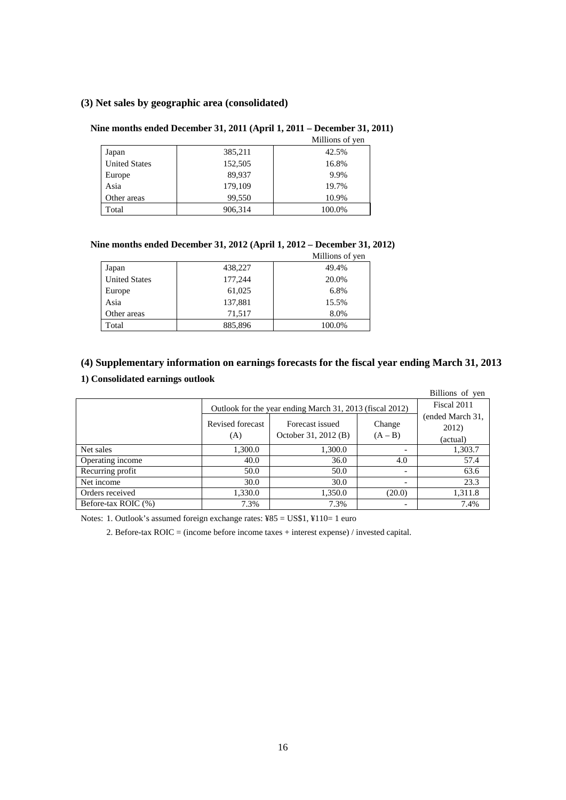## **(3) Net sales by geographic area (consolidated)**

#### **Nine months ended December 31, 2011 (April 1, 2011 – December 31, 2011)**

|                      |         | Millions of yen |
|----------------------|---------|-----------------|
| Japan                | 385,211 | 42.5%           |
| <b>United States</b> | 152,505 | 16.8%           |
| Europe               | 89,937  | 9.9%            |
| Asia                 | 179,109 | 19.7%           |
| Other areas          | 99,550  | 10.9%           |
| Total                | 906,314 | 100.0%          |

#### **Nine months ended December 31, 2012 (April 1, 2012 – December 31, 2012)**

|                      |         | Millions of yen |
|----------------------|---------|-----------------|
| Japan                | 438,227 | 49.4%           |
| <b>United States</b> | 177,244 | 20.0%           |
| Europe               | 61,025  | 6.8%            |
| Asia                 | 137,881 | 15.5%           |
| Other areas          | 71.517  | 8.0%            |
| Total                | 885,896 | 100.0%          |

## **(4) Supplementary information on earnings forecasts for the fiscal year ending March 31, 2013**

## **1) Consolidated earnings outlook**

|                     |                                                          |                                         |                          | Billions of yen                       |  |
|---------------------|----------------------------------------------------------|-----------------------------------------|--------------------------|---------------------------------------|--|
|                     | Outlook for the year ending March 31, 2013 (fiscal 2012) |                                         |                          |                                       |  |
|                     | Revised forecast<br>(A)                                  | Forecast issued<br>October 31, 2012 (B) | Change<br>$(A - B)$      | (ended March 31,<br>2012)<br>(actual) |  |
| Net sales           | 1,300.0                                                  | 1,300.0                                 |                          | 1,303.7                               |  |
| Operating income    | 40.0                                                     | 36.0                                    | 4.0                      | 57.4                                  |  |
| Recurring profit    | 50.0                                                     | 50.0                                    | $\overline{\phantom{0}}$ | 63.6                                  |  |
| Net income          | 30.0                                                     | 30.0                                    | $\overline{\phantom{a}}$ | 23.3                                  |  |
| Orders received     | 1,330.0                                                  | 1,350.0                                 | (20.0)                   | 1,311.8                               |  |
| Before-tax ROIC (%) | 7.3%                                                     | 7.3%                                    | $\overline{\phantom{a}}$ | 7.4%                                  |  |

Notes: 1. Outlook's assumed foreign exchange rates: ¥85 = US\$1, ¥110= 1 euro

2. Before-tax ROIC = (income before income taxes + interest expense) / invested capital.